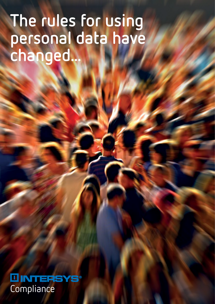# **The rules for using personal data have changed...**

**III INTERSYS®** Compliance